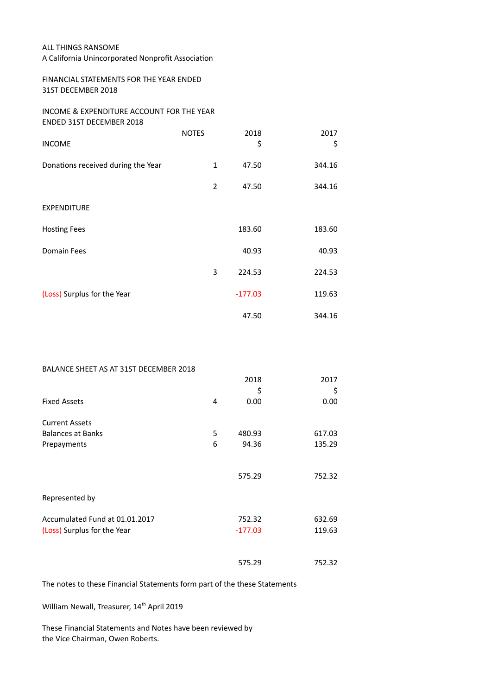## ALL THINGS RANSOME

A California Unincorporated Nonprofit Association

## FINANCIAL STATEMENTS FOR THE YEAR ENDED 31ST DECEMBER 2018

## INCOME & EXPENDITURE ACCOUNT FOR THE YEAR ENDED 31ST DECEMBER 2018

| <b>INCOME</b>                      | <b>NOTES</b> | 2018<br>\$ | 2017<br>\$ |
|------------------------------------|--------------|------------|------------|
| Donations received during the Year | $\mathbf{1}$ | 47.50      | 344.16     |
|                                    | 2            | 47.50      | 344.16     |
| <b>EXPENDITURE</b>                 |              |            |            |
| <b>Hosting Fees</b>                |              | 183.60     | 183.60     |
| <b>Domain Fees</b>                 |              | 40.93      | 40.93      |
|                                    | 3            | 224.53     | 224.53     |
| (Loss) Surplus for the Year        |              | $-177.03$  | 119.63     |
|                                    |              | 47.50      | 344.16     |

## BALANCE SHEET AS AT 31ST DECEMBER 2018

|                                |   | 2018      | 2017   |
|--------------------------------|---|-----------|--------|
|                                |   | \$        | \$     |
| <b>Fixed Assets</b>            | 4 | 0.00      | 0.00   |
| <b>Current Assets</b>          |   |           |        |
| <b>Balances at Banks</b>       | 5 | 480.93    | 617.03 |
| Prepayments                    | 6 | 94.36     | 135.29 |
|                                |   |           |        |
|                                |   | 575.29    | 752.32 |
| Represented by                 |   |           |        |
| Accumulated Fund at 01.01.2017 |   | 752.32    | 632.69 |
| (Loss) Surplus for the Year    |   | $-177.03$ | 119.63 |
|                                |   |           |        |
|                                |   | 575.29    | 752.32 |

The notes to these Financial Statements form part of the these Statements

William Newall, Treasurer, 14<sup>th</sup> April 2019

These Financial Statements and Notes have been reviewed by the Vice Chairman, Owen Roberts.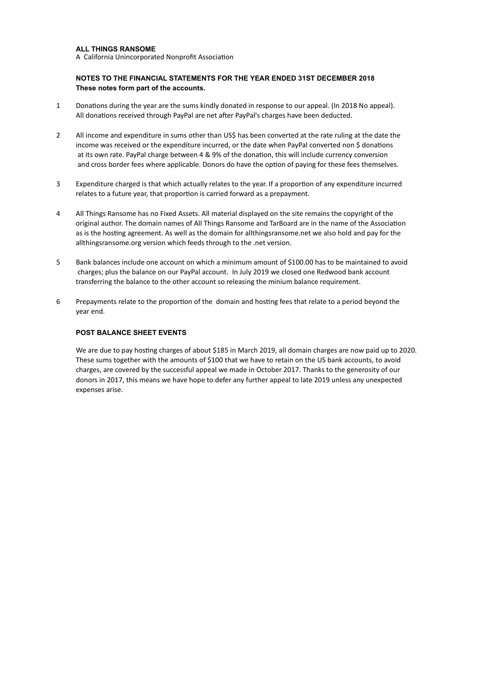#### **ALL THINGS RANSOME**

A California Unincorporated Nonprofit Association

#### **NOTES TO THE FINANCIAL STATEMENTS FOR THE YEAR ENDED 31ST DECEMBER 2018 These notes form part of the accounts.**

- 1 Donations during the year are the sums kindly donated in response to our appeal. (In 2018 No appeal). All donations received through PayPal are net after PayPal's charges have been deducted.
- 2 All income and expenditure in sums other than US\$ has been converted at the rate ruling at the date the income was received or the expenditure incurred, or the date when PayPal converted non \$ donations at its own rate. PayPal charge between 4 & 9% of the donation, this will include currency conversion and cross border fees where applicable. Donors do have the option of paying for these fees themselves.
- 3 Expenditure charged is that which actually relates to the year. If a proportion of any expenditure incurred relates to a future year, that proportion is carried forward as a prepayment.
- 4 All Things Ransome has no Fixed Assets. All material displayed on the site remains the copyright of the original author. The domain names of All Things Ransome and TarBoard are in the name of the Association as is the hosting agreement. As well as the domain for allthingsransome.net we also hold and pay for the allthingsransome.org version which feeds through to the .net version.
- 5 Bank balances include one account on which a minimum amount of \$100.00 has to be maintained to avoid charges; plus the balance on our PayPal account. In July 2019 we closed one Redwood bank account transferring the balance to the other account so releasing the minium balance requirement.
- 6 Prepayments relate to the proportion of the domain and hosting fees that relate to a period beyond the year end.

### **POST BALANCE SHEET EVENTS**

We are due to pay hosting charges of about \$185 in March 2019, all domain charges are now paid up to 2020. These sums together with the amounts of \$100 that we have to retain on the US bank accounts, to avoid charges, are covered by the successful appeal we made in October 2017. Thanks to the generosity of our donors in 2017, this means we have hope to defer any further appeal to late 2019 unless any unexpected expenses arise.